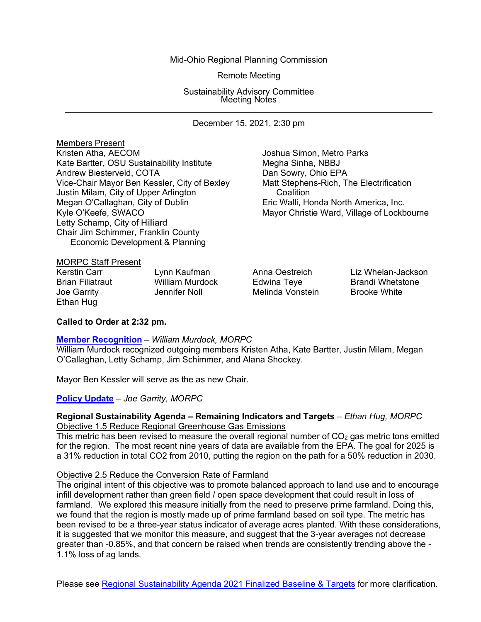Mid-Ohio Regional Planning Commission

Remote Meeting

Sustainability Advisory Committee Meeting Notes

December 15, 2021, 2:30 pm

Members Present<br>Kristen Atha, AECOM Kate Bartter, OSU Sustainability Institute Megha Sinha, NBBJ Andrew Biesterveld, COTA<br>Vice-Chair Mayor Ben Kessler, City of Bexley Matt Stephens-Rich, The Electrification Vice-Chair Mayor Ben Kessler, City of Bexley Matt Stepher<br>Justin Milam, City of Upper Arlington Coalition Justin Milam, City of Upper Arlington Megan O'Callaghan, City of Dublin Eric Walli, Honda North America, Inc.<br>Kyle O'Keefe, SWACO Kyle O'Keefe, SWACO Letty Schamp, City of Hilliard Chair Jim Schimmer, Franklin County Economic Development & Planning

Joshua Simon, Metro Parks Mayor Christie Ward, Village of Lockbourne

# MORPC Staff Present<br>Kerstin Carr

Ethan Hug

Joe Garrity Jennifer Noll Melinda Vonstein Brooke White

Kerstin Carr Lynn Kaufman Anna Oestreich Liz Whelan-Jackson<br>Brian Filiatraut William Murdock William Murdock Edwina Teye Brandi Whetstone<br>
Jennifer Noll Belinda Vonstein Brooke White

# **Called to Order at 2:32 pm.**

#### **[Member Recognition](https://morpc1-my.sharepoint.com/:v:/g/personal/lkaufman_morpc_org/EYzauR1S7d9PgubTA_sSaG8BWOChvRKuqPjW5eXceL8_Sw?e=fXTK7k)** *– William Murdock, MORPC*

William Murdock recognized outgoing members Kristen Atha, Kate Bartter, Justin Milam, Megan O'Callaghan, Letty Schamp, Jim Schimmer, and Alana Shockey.

Mayor Ben Kessler will serve as the as new Chair.

# **[Policy Update](https://morpc1-my.sharepoint.com/:v:/g/personal/lkaufman_morpc_org/EdMXXc2PrHdAkfNvPO6hv4IBt_jl597LJUhzNcg6pJv8ZA?e=1LJ57j)** *– Joe Garrity, MORPC*

#### **Regional Sustainability Agenda – Remaining Indicators and Targets** *– Ethan Hug, MORPC* Objective 1.5 Reduce Regional Greenhouse Gas Emissions

This metric has been revised to measure the overall regional number of  $CO<sub>2</sub>$  gas metric tons emitted for the region. The most recent nine years of data are available from the EPA. The goal for 2025 is a 31% reduction in total CO2 from 2010, putting the region on the path for a 50% reduction in 2030.

#### Objective 2.5 Reduce the Conversion Rate of Farmland

The original intent of this objective was to promote balanced approach to land use and to encourage infill development rather than green field / open space development that could result in loss of farmland. We explored this measure initially from the need to preserve prime farmland. Doing this, we found that the region is mostly made up of prime farmland based on soil type. The metric has been revised to be a three-year status indicator of average acres planted. With these considerations, it is suggested that we monitor this measure, and suggest that the 3-year averages not decrease greater than -0.85%, and that concern be raised when trends are consistently trending above the - 1.1% loss of ag lands.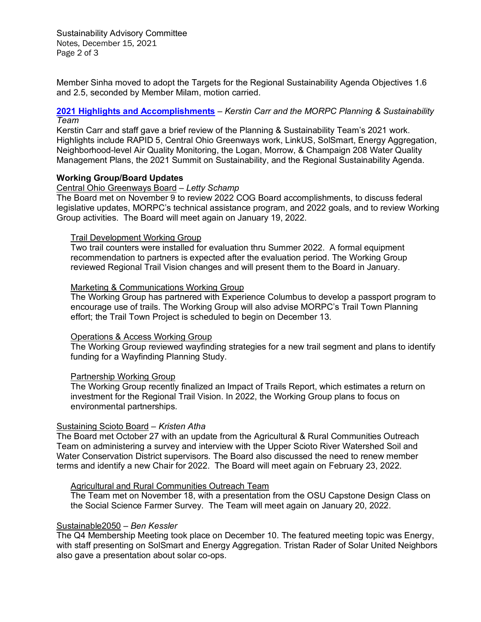Sustainability Advisory Committee Notes, December 15, 2021 Page 2 of 3

Member Sinha moved to adopt the Targets for the Regional Sustainability Agenda Objectives 1.6 and 2.5, seconded by Member Milam, motion carried.

# **[2021 Highlights and Accomplishments](https://morpc1-my.sharepoint.com/:v:/g/personal/lkaufman_morpc_org/EVtmOkSF9C9HkcvGWJGa0cEBWQFwIhC9tkcb7lYHAeCOhQ?e=2j4Jut)** *– Kerstin Carr and the MORPC Planning & Sustainability Team*

Kerstin Carr and staff gave a brief review of the Planning & Sustainability Team's 2021 work. Highlights include RAPID 5, Central Ohio Greenways work, LinkUS, SolSmart, Energy Aggregation, Neighborhood-level Air Quality Monitoring, the Logan, Morrow, & Champaign 208 Water Quality Management Plans, the 2021 Summit on Sustainability, and the Regional Sustainability Agenda.

## **Working Group/Board Updates**

#### Central Ohio Greenways Board *– Letty Schamp*

The Board met on November 9 to review 2022 COG Board accomplishments, to discuss federal legislative updates, MORPC's technical assistance program, and 2022 goals, and to review Working Group activities. The Board will meet again on January 19, 2022.

## Trail Development Working Group

Two trail counters were installed for evaluation thru Summer 2022. A formal equipment recommendation to partners is expected after the evaluation period. The Working Group reviewed Regional Trail Vision changes and will present them to the Board in January.

## Marketing & Communications Working Group

The Working Group has partnered with Experience Columbus to develop a passport program to encourage use of trails. The Working Group will also advise MORPC's Trail Town Planning effort; the Trail Town Project is scheduled to begin on December 13.

#### Operations & Access Working Group

The Working Group reviewed wayfinding strategies for a new trail segment and plans to identify funding for a Wayfinding Planning Study.

# Partnership Working Group

The Working Group recently finalized an Impact of Trails Report, which estimates a return on investment for the Regional Trail Vision. In 2022, the Working Group plans to focus on environmental partnerships.

# Sustaining Scioto Board *– Kristen Atha*

The Board met October 27 with an update from the Agricultural & Rural Communities Outreach Team on administering a survey and interview with the Upper Scioto River Watershed Soil and Water Conservation District supervisors. The Board also discussed the need to renew member terms and identify a new Chair for 2022. The Board will meet again on February 23, 2022.

#### Agricultural and Rural Communities Outreach Team

The Team met on November 18, with a presentation from the OSU Capstone Design Class on the Social Science Farmer Survey. The Team will meet again on January 20, 2022.

#### Sustainable2050 *– Ben Kessler*

The Q4 Membership Meeting took place on December 10. The featured meeting topic was Energy, with staff presenting on SolSmart and Energy Aggregation. Tristan Rader of Solar United Neighbors also gave a presentation about solar co-ops.